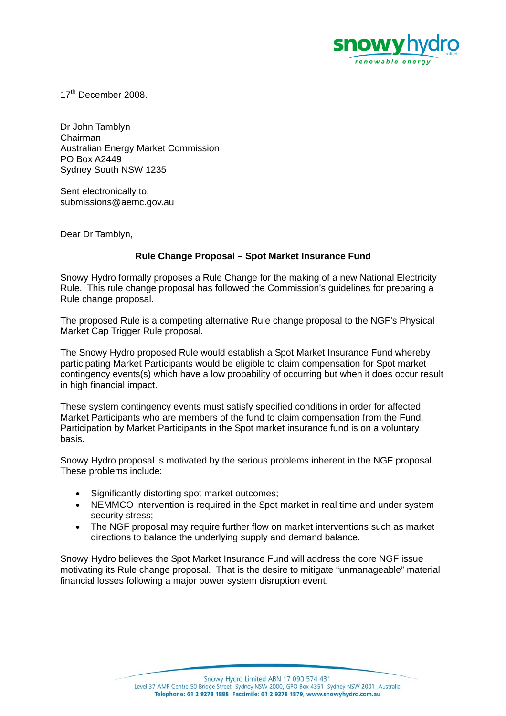

17<sup>th</sup> December 2008

Dr John Tamblyn Chairman Australian Energy Market Commission PO Box A2449 Sydney South NSW 1235

Sent electronically to: submissions@aemc.gov.au

Dear Dr Tamblyn,

## **Rule Change Proposal – Spot Market Insurance Fund**

Snowy Hydro formally proposes a Rule Change for the making of a new National Electricity Rule. This rule change proposal has followed the Commission's guidelines for preparing a Rule change proposal.

The proposed Rule is a competing alternative Rule change proposal to the NGF's Physical Market Cap Trigger Rule proposal.

The Snowy Hydro proposed Rule would establish a Spot Market Insurance Fund whereby participating Market Participants would be eligible to claim compensation for Spot market contingency events(s) which have a low probability of occurring but when it does occur result in high financial impact.

These system contingency events must satisfy specified conditions in order for affected Market Participants who are members of the fund to claim compensation from the Fund. Participation by Market Participants in the Spot market insurance fund is on a voluntary basis.

Snowy Hydro proposal is motivated by the serious problems inherent in the NGF proposal. These problems include:

- Significantly distorting spot market outcomes;
- NEMMCO intervention is required in the Spot market in real time and under system security stress;
- The NGF proposal may require further flow on market interventions such as market directions to balance the underlying supply and demand balance.

Snowy Hydro believes the Spot Market Insurance Fund will address the core NGF issue motivating its Rule change proposal. That is the desire to mitigate "unmanageable" material financial losses following a major power system disruption event.